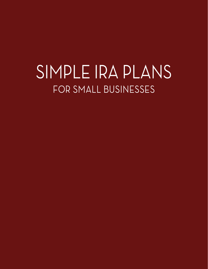# SIMPLE IRA PLANS FOR SMALL BUSINESSES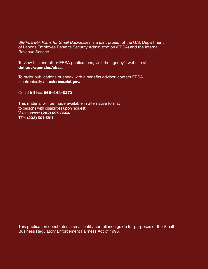*SIMPLE IRA Plans for Small Businesses* is a joint project of the U.S. Department of Labor's Employee Benefits Security Administration (EBSA) and the Internal Revenue Service.

To view this and other EBSA publications, visit the agency's website at: [dol.gov/agencies/ebsa](http://dol.gov/agencies/ebsa).

To order publications or speak with a benefits advisor, contact EBSA electronically at: [askebsa.dol.gov](http://askebsa.dol.gov).

Or call toll free: 866–444–3272

This material will be made available in alternative format to persons with disabilities upon request: Voice phone: (202) 693–8664 TTY: (202) 501–3911

This publication constitutes a small entity compliance guide for purposes of the Small Business Regulatory Enforcement Fairness Act of 1996.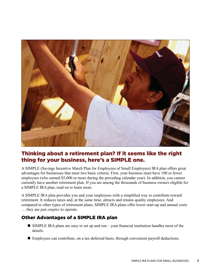

# Thinking about a retirement plan? If it seems like the right thing for your business, here's a SIMPLE one.

A SIMPLE (Savings Incentive Match Plan for Employees of Small Employers) IRA plan offers great advantages for businesses that meet two basic criteria. First, your business must have 100 or fewer employees (who earned \$5,000 or more during the preceding calendar year). In addition, you cannot currently have another retirement plan. If you are among the thousands of business owners eligible for a SIMPLE IRA plan, read on to learn more.

A SIMPLE IRA plan provides you and your employees with a simplified way to contribute toward retirement. It reduces taxes and, at the same time, attracts and retains quality employees. And compared to other types of retirement plans, SIMPLE IRA plans offer lower start-up and annual costs … they are just *simpler* to operate.

## Other Advantages of a SIMPLE IRA plan

- $\blacksquare$  SIMPLE IRA plans are easy to set up and run your financial institution handles most of the details.
- Employees can contribute, on a tax-deferred basis, through convenient payroll deductions.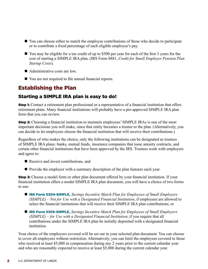- $\blacksquare$  You can choose either to match the employee contributions of those who decide to participate or to contribute a fixed percentage of each eligible employee's pay.
- You may be eligible for a tax credit of up to \$500 per year for each of the first 3 years for the cost of starting a SIMPLE IRA plan. (IRS Form 8881, *Credit for Small Employer Pension Plan Startup Costs*).
- $\blacksquare$  Administrative costs are low.
- You are not required to file annual financial reports.

# Establishing the Plan

## Starting a SIMPLE IRA plan is easy to do!

**Step 1:** Contact a retirement plan professional or a representative of a financial institution that offers retirement plans. Many financial institutions will probably have a pre-approved SIMPLE IRA plan form that you can review.

**Step 2:** Choosing a financial institution to maintain employees' SIMPLE IRAs is one of the most important decisions you will make, since that entity becomes a trustee to the plan. (Alternatively, you can decide to let employees choose the financial institution that will receive their contributions.)

Regardless of who makes the choice, only the following institutions can be designated as trustees of SIMPLE IRA plans: banks, mutual funds, insurance companies that issue annuity contracts, and certain other financial institutions that have been approved by the IRS. Trustees work with employers and agree to:

- Receive and invest contributions, and
- Provide the employer with a summary description of the plan features each year.

**Step 3:** Choose a model form or other plan document offered by your financial institution. If your financial institution offers a model SIMPLE IRA plan document, you will have a choice of two forms to use:

- **[IRS Form 5304-SIMPLE](https://www.irs.gov/pub/irs-pdf/f5304sim.pdf?_ga=1.138162352.1651414913.1371672244)**, *Savings Incentive Match Plan for Employees of Small Employers (SIMPLE)* – *Not for Use with a Designated Financial Institution*, if employees are allowed to select the financial institutions that will receive their SIMPLE IRA plan contributions; or
- **[IRS Form 5305-SIMPLE](https://www.irs.gov/pub/irs-pdf/f5305sim.pdf?_ga=1.206126227.1651414913.1371672244)**, *Savings Incentive Match Plan for Employees of Small Employers (SIMPLE)* – *for Use with a Designated Financial Institution*, if you require that all contributions under the SIMPLE IRA plan be initially deposited with a designated financial institution.

Your choice of the employees covered will be set out in your selected plan document. You can choose to cover all employees without restriction. Alternatively, you can limit the employees covered to those who received at least \$5,000 in compensation during any 2 years prior to the current calendar year and who are reasonably expected to receive at least \$5,000 during the current calendar year.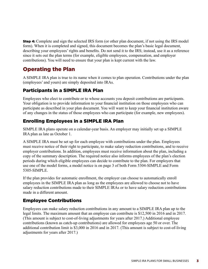**Step 4:** Complete and sign the selected IRS form (or other plan document, if not using the IRS model form). When it is completed and signed, this document becomes the plan's basic legal document, describing your employees' rights and benefits. Do not send it to the IRS; instead, use it as a reference since it sets out the plan terms (for example, eligible employees, compensation, and employer contributions). You will need to ensure that your plan is kept current with the law.

# Operating the Plan

A SIMPLE IRA plan is true to its name when it comes to plan operation. Contributions under the plan (employees' and yours) are simply deposited into IRAs.

## Participants in a SIMPLE IRA Plan

Employees who elect to contribute or to whose accounts you deposit contributions are participants. Your obligation is to provide information to your financial institution on those employees who can participate as described in your plan document. You will want to keep your financial institution aware of any changes in the status of those employees who can participate (for example, new employees).

## Enrolling Employees in a SIMPLE IRA Plan

SIMPLE IRA plans operate on a calendar-year basis. An employer may initially set up a SIMPLE IRA plan as late as October 1.

A SIMPLE IRA must be set up for each employee with contributions under the plan. Employees must receive notice of their right to participate, to make salary reduction contributions, and to receive employer contributions. In addition, employees must receive information about the plan, including a copy of the summary description. The required notice also informs employees of the plan's election periods during which eligible employees can decide to contribute to the plan. For employers that use one of the model forms, a model notice is on page 3 of both Form 5304-SIMPLE and Form 5305-SIMPLE.

If the plan provides for automatic enrollment, the employer can choose to automatically enroll employees in the SIMPLE IRA plan as long as the employees are allowed to choose not to have salary reduction contributions made to their SIMPLE IRAs or to have salary reduction contributions made in a different amount.

## Employee Contributions

Employees can make salary reduction contributions in any amount to a SIMPLE IRA plan up to the legal limits. The maximum amount that an employee can contribute is \$12,500 in 2016 and in 2017. (This amount is subject to cost-of-living adjustments for years after 2017.) Additional employee contributions (known as catch-up contributions) are allowed for employees age 50 or over. The additional contribution limit is \$3,000 in 2016 and in 2017. (This amount is subject to cost-of-living adjustments for years after 2017.)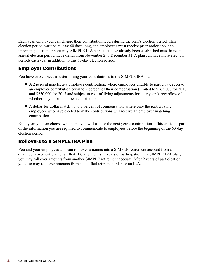Each year, employees can change their contribution levels during the plan's election period. This election period must be at least 60 days long, and employees must receive prior notice about an upcoming election opportunity. SIMPLE IRA plans that have already been established must have an annual election period that extends from November 2 to December 31. A plan can have more election periods each year in addition to this 60-day election period.

## Employer Contributions

You have two choices in determining your contributions to the SIMPLE IRA plan:

- $\blacksquare$  A 2 percent nonelective employer contribution, where employees eligible to participate receive an employer contribution equal to 2 percent of their compensation (limited to \$265,000 for 2016 and \$270,000 for 2017 and subject to cost-of-living adjustments for later years), regardless of whether they make their own contributions.
- $\blacksquare$  A dollar-for-dollar match up to 3 percent of compensation, where only the participating employees who have elected to make contributions will receive an employer matching contribution.

Each year, you can choose which one you will use for the next year's contributions. This choice is part of the information you are required to communicate to employees before the beginning of the 60-day election period.

## Rollovers to a SIMPLE IRA Plan

You and your employees also can roll over amounts into a SIMPLE retirement account from a qualified retirement plan or an IRA. During the first 2 years of participation in a SIMPLE IRA plan, you may roll over amounts from another SIMPLE retirement account. After 2 years of participation, you also may roll over amounts from a qualified retirement plan or an IRA.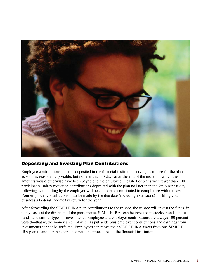

## Depositing and Investing Plan Contributions

Employee contributions must be deposited in the financial institution serving as trustee for the plan as soon as reasonably possible, but no later than 30 days after the end of the month in which the amounts would otherwise have been payable to the employee in cash. For plans with fewer than 100 participants, salary reduction contributions deposited with the plan no later than the 7th business day following withholding by the employer will be considered contributed in compliance with the law. Your employer contributions must be made by the due date (including extensions) for filing your business's Federal income tax return for the year.

After forwarding the SIMPLE IRA plan contributions to the trustee, the trustee will invest the funds, in many cases at the direction of the participants. SIMPLE IRAs can be invested in stocks, bonds, mutual funds, and similar types of investments. Employee and employer contributions are always 100 percent vested—that is, the money an employee has put aside plus employer contributions and earnings from investments cannot be forfeited. Employees can move their SIMPLE IRA assets from one SIMPLE IRA plan to another in accordance with the procedures of the financial institution.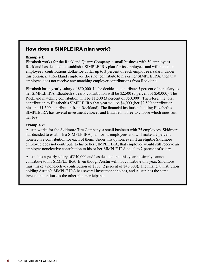## How does a SIMPLE IRA plan work?

#### Example 1:

Elizabeth works for the Rockland Quarry Company, a small business with 50 employees. Rockland has decided to establish a SIMPLE IRA plan for its employees and will match its employees' contributions dollar-for-dollar up to 3 percent of each employee's salary. Under this option, if a Rockland employee does not contribute to his or her SIMPLE IRA, then that employee does not receive any matching employer contributions from Rockland.

Elizabeth has a yearly salary of \$50,000. If she decides to contribute 5 percent of her salary to her SIMPLE IRA, Elizabeth's yearly contribution will be \$2,500 (5 percent of \$50,000). The Rockland matching contribution will be \$1,500 (3 percent of \$50,000). Therefore, the total contribution to Elizabeth's SIMPLE IRA that year will be \$4,000 (her \$2,500 contribution plus the \$1,500 contribution from Rockland). The financial institution holding Elizabeth's SIMPLE IRA has several investment choices and Elizabeth is free to choose which ones suit her best.

#### Example 2:

Austin works for the Skidmore Tire Company, a small business with 75 employees. Skidmore has decided to establish a SIMPLE IRA plan for its employees and will make a 2 percent nonelective contribution for each of them. Under this option, even if an eligible Skidmore employee does not contribute to his or her SIMPLE IRA, that employee would still receive an employer nonelective contribution to his or her SIMPLE IRA equal to 2 percent of salary.

Austin has a yearly salary of \$40,000 and has decided that this year he simply cannot contribute to his SIMPLE IRA. Even though Austin will not contribute this year, Skidmore must make a nonelective contribution of \$800 (2 percent of \$40,000). The financial institution holding Austin's SIMPLE IRA has several investment choices, and Austin has the same investment options as the other plan participants.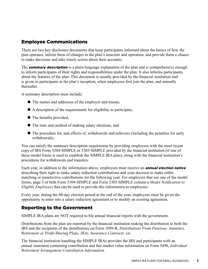## Employee Communications

There are two key disclosure documents that keep participants informed about the basics of how the plan operates, inform them of changes in the plan's structure and operation, and provide them a chance to make decisions and take timely action about their accounts.

The **summary description** is a plain-language explanation of the plan and is comprehensive enough to inform participants of their rights and responsibilities under the plan. It also informs participants about the features of the plan. This document is usually provided by the financial institution and is given to participants at the plan's inception, when employees first join the plan, and annually thereafter.

A summary description must include:

- $\blacksquare$  The names and addresses of the employer and trustee,
- $\blacksquare$  A description of the requirements for eligibility to participate,
- $\blacksquare$  The benefits provided,
- $\blacksquare$  The time and method of making salary elections, and
- $\blacksquare$  The procedure for, and effects of, withdrawals and rollovers (including the penalties for early withdrawals).

You can satisfy the summary description requirement by providing employees with the most recent copy of IRS Form 5304-SIMPLE or 5305-SIMPLE provided by the financial institution (if one of these model forms is used to establish the SIMPLE IRA plan), along with the financial institution's procedures for withdrawals and transfers.

Each year, in addition to the information above, employees must receive an **annual election notice** describing their right to make salary reduction contributions and your decision to make either matching or nonelective contributions for the following year. For employers that use one of the model forms, page 3 of both Form 5304-SIMPLE and Form 5305-SIMPLE contain a *Model Notification to Eligible Employees* that can be used to provide this information to employees.

Every year, during the 60-day election period at the end of the year, employees must be given the opportunity to enter into a salary reduction agreement or to modify an existing agreement.

## Reporting to the Government

SIMPLE IRA plans are NOT required to file annual financial reports with the government.

Distributions from the plan are reported by the financial institution making the distribution to both the IRS and the recipients of the distributions on Form 1099-R, *Distributions From Pensions, Annuities, Retirement or Profit-Sharing Plans, IRAs, Insurance Contracts, etc.*

The financial institution handling the SIMPLE IRAs provides the IRS and participants with an annual statement containing contribution and fair market value information on Form 5498, *Individual Retirement Arrangement Contribution Information.*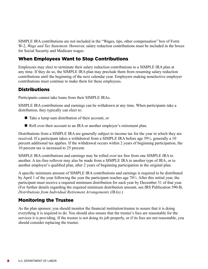SIMPLE IRA contributions are not included in the "Wages, tips, other compensation" box of Form W-2, *Wage and Tax Statement*. However, salary reduction contributions must be included in the boxes for Social Security and Medicare wages.

## When Employees Want to Stop Contributions

Employees may elect to terminate their salary reduction contributions to a SIMPLE IRA plan at any time. If they do so, the SIMPLE IRA plan may preclude them from resuming salary reduction contributions until the beginning of the next calendar year. Employers making nonelective employer contributions must continue to make them for these employees.

## Distributions

Participants cannot take loans from their SIMPLE IRAs.

SIMPLE IRA contributions and earnings can be withdrawn at any time. When participants take a distribution, they typically can elect to:

- $\blacksquare$  Take a lump sum distribution of their account, or
- Roll over their account to an IRA or another employer's retirement plan.

Distributions from a SIMPLE IRA are generally subject to income tax for the year in which they are received. If a participant takes a withdrawal from a SIMPLE IRA before age 59½, generally a 10 percent additional tax applies. If the withdrawal occurs within 2 years of beginning participation, the 10 percent tax is increased to 25 percent.

SIMPLE IRA contributions and earnings may be rolled over tax free from one SIMPLE IRA to another. A tax-free rollover may also be made from a SIMPLE IRA to another type of IRA, or to another employer's qualified plan, after 2 years of beginning participation in the original plan.

A specific minimum amount of SIMPLE IRA contributions and earnings is required to be distributed by April 1 of the year following the year the participant reaches age 70½. After this initial year, the participant must receive a required minimum distribution for each year by December 31 of that year. (For further details regarding the required minimum distribution amount, see IRS Publication 590-B, *Distributions from Individual Retirement Arrangements (IRAs)*.)

## Monitoring the Trustee

As the plan sponsor, you should monitor the financial institution/trustee to assure that it is doing everything it is required to do. You should also ensure that the trustee's fees are reasonable for the services it is providing. If the trustee is not doing its job properly, or if its fees are not reasonable, you should consider replacing the trustee.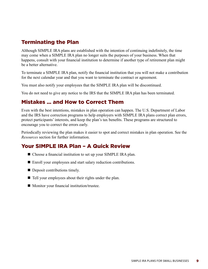# Terminating the Plan

Although SIMPLE IRA plans are established with the intention of continuing indefinitely, the time may come when a SIMPLE IRA plan no longer suits the purposes of your business. When that happens, consult with your financial institution to determine if another type of retirement plan might be a better alternative.

To terminate a SIMPLE IRA plan, notify the financial institution that you will not make a contribution for the next calendar year and that you want to terminate the contract or agreement.

You must also notify your employees that the SIMPLE IRA plan will be discontinued.

You do not need to give any notice to the IRS that the SIMPLE IRA plan has been terminated.

# Mistakes … and How to Correct Them

Even with the best intentions, mistakes in plan operation can happen. The U.S. Department of Labor and the IRS have correction programs to help employers with SIMPLE IRA plans correct plan errors, protect participants' interests, and keep the plan's tax benefits. These programs are structured to encourage you to correct the errors early.

Periodically reviewing the plan makes it easier to spot and correct mistakes in plan operation. See the *Resources* section for further information.

# Your SIMPLE IRA Plan – A Quick Review

- Choose a financial institution to set up your SIMPLE IRA plan.
- Enroll your employees and start salary reduction contributions.
- $\blacksquare$  Deposit contributions timely.
- $\blacksquare$  Tell your employees about their rights under the plan.
- $\blacksquare$  Monitor your financial institution/trustee.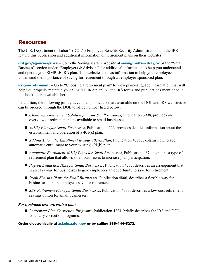## Resources

The U.S. Department of Labor's (DOL's) Employee Benefits Security Administration and the IRS feature this publication and additional information on retirement plans on their websites:

[dol.gov/agencies/ebsa](http://dol.gov/agencies/ebsa) – Go to the Saving Matters website at [savingmatters.dol.gov](http://savingmatters.dol.gov) or the "Small Business" section under "Employers & Advisers" for additional information to help you understand and operate your SIMPLE IRA plan. This website also has information to help your employees understand the importance of saving for retirement through an employer-sponsored plan.

**[irs.gov/retirement](http://irs.gov/retirement)** – Go to "Choosing a retirement plan" to view plain-language information that will help you properly maintain your SIMPLE IRA plan. All the IRS forms and publications mentioned in this booklet are available here.

In addition, the following jointly developed publications are available on the DOL and IRS websites or can be ordered through the DOL toll-free number listed below:

- *Choosing a Retirement Solution for Your Small Business*, Publication 3998, provides an overview of retirement plans available to small businesses.
- 401(k) Plans for Small Businesses, Publication 4222, provides detailed information about the establishment and operation of a 401(k) plan.
- *Adding Automatic Enrollment to Your 401(k) Plan*, Publication 4721, explains how to add automatic enrollment to your existing 401(k) plan.
- *Automatic Enrollment 401(k) Plans for Small Businesses*, Publication 4674, explains a type of retirement plan that allows small businesses to increase plan participation.
- *Payroll Deduction IRAs for Small Businesses*, Publication 4587, describes an arrangement that is an easy way for businesses to give employees an opportunity to save for retirement.
- *Profit Sharing Plans for Small Businesses*, Publication 4806, describes a flexible way for businesses to help employees save for retirement.
- *SEP Retirement Plans for Small Businesses*, Publication 4333, describes a low-cost retirement savings option for small businesses.

#### *For business owners with a plan*

■ *Retirement Plan Correction Programs*, Publication 4224, briefly describes the IRS and DOL voluntary correction programs.

Order electronically at [askebsa.dol.gov](http://askebsa.dol.gov) or by calling 866-444-3272.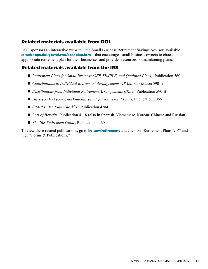## Related materials available from DOL

DOL sponsors an interactive website – the Small Business Retirement Savings Advisor, available at **[webapps.dol.gov/elaws/ebsaplan.htm](http://webapps.dol.gov/elaws/ebsaplan.htm)** – that encourages small business owners to choose the appropriate retirement plan for their businesses and provides resources on maintaining plans.

## Related materials available from the IRS

- *Retirement Plans for Small Business (SEP, SIMPLE, and Qualified Plans)*, Publication 560
- *Contributions to Individual Retirement Arrangements (IRAs)*, Publication 590-A
- *Distributions from Individual Retirement Arrangements (IRAs)*, Publication 590-B
- *Have you had your Check-up this year? for Retirement Plans, Publication 3066*
- *SIMPLE IRA Plan Checklist*, Publication 4284
- *Lots of Benefits*, Publication 4118 (also in Spanish, Vietnamese, Korean, Chinese and Russian)
- *The IRS Retirement Guide*, Publication 4460

To view these related publications, go to **[irs.gov/retirement](http://irs.gov/retirement)** and click on "Retirement Plans A-Z" and then "Forms & Publications"